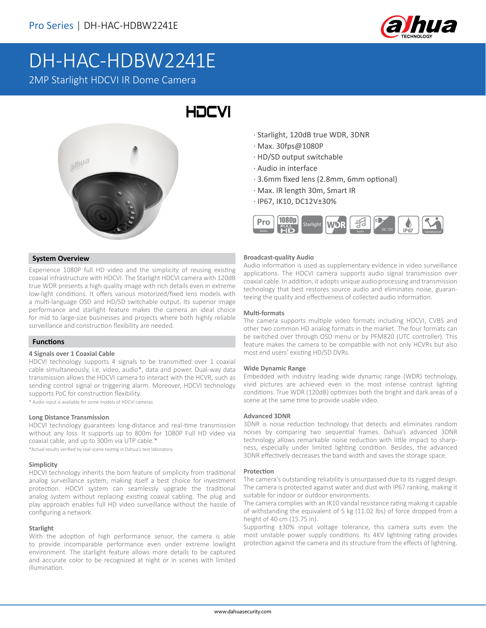

# DH-HAC-HDBW2241E

2MP Starlight HDCVI IR Dome Camera

## HOCVI



#### **System Overview**

Experience 1080P full HD video and the simplicity of reusing existing coaxial infrastructure with HDCVI. The Starlight HDCVI camera with 120dB true WDR presents a high quality image with rich details even in extreme low-light conditions. It offers various motorized/fixed lens models with a multi-language OSD and HD/SD switchable output. Its superior image performance and starlight feature makes the camera an ideal choice for mid to large-size businesses and projects where both highly reliable surveillance and construction flexibility are needed.

#### **Functions**

#### **4 Signals over 1 Coaxial Cable**

HDCVI technology supports 4 signals to be transmitted over 1 coaxial cable simultaneously, i.e. video, audio\*, data and power. Dual-way data transmission allows the HDCVI camera to interact with the HCVR, such as sending control signal or triggering alarm. Moreover, HDCVI technology supports PoC for construction flexibility.

\* Audio input is available for some models of HDCVI cameras.

#### **Long Distance Transmission**

HDCVI technology guarantees long-distance and real-time transmission without any loss. It supports up to 800m for 1080P Full HD video via coaxial cable, and up to 300m via UTP cable.\*

\*Actual results verified by real-scene testing in Dahua's test laboratory.

#### **Simplicity**

HDCVI technology inherits the born feature of simplicity from traditional analog surveillance system, making itself a best choice for investment protection. HDCVI system can seamlessly upgrade the traditional analog system without replacing existing coaxial cabling. The plug and play approach enables full HD video surveillance without the hassle of configuring a network.

#### **Starlight**

With the adoption of high performance sensor, the camera is able to provide incomparable performance even under extreme lowlight environment. The starlight feature allows more details to be captured and accurate color to be recognized at night or in scenes with limited illumination.

- · Starlight, 120dB true WDR, 3DNR
- · Max. 30fps@1080P
- · HD/SD output switchable
- · Audio in interface
- · 3.6mm fixed lens (2.8mm, 6mm optional)
- · Max. IR length 30m, Smart IR
- · IP67, IK10, DC12V±30%



#### **Broadcast-quality Audio**

Audio information is used as supplementary evidence in video surveillance applications. The HDCVI camera supports audio signal transmission over coaxial cable. In addition, it adopts unique audio processing and transmission technology that best restores source audio and eliminates noise, guaranteeing the quality and effectiveness of collected audio information.

#### **Multi-formats**

The camera supports multiple video formats including HDCVI, CVBS and other two common HD analog formats in the market. The four formats can be switched over through OSD menu or by PFM820 (UTC controller). This feature makes the camera to be compatible with not only HCVRs but also most end users' existing HD/SD DVRs.

#### **Wide Dynamic Range**

Embedded with industry leading wide dynamic range (WDR) technology, vivid pictures are achieved even in the most intense contrast lighting conditions. True WDR (120dB) optimizes both the bright and dark areas of a scene at the same time to provide usable video.

#### **Advanced 3DNR**

3DNR is noise reduction technology that detects and eliminates random noises by comparing two sequential frames. Dahua's advanced 3DNR technology allows remarkable noise reduction with little impact to sharpness, especially under limited lighting condition. Besides, the advanced 3DNR effectively decreases the band width and saves the storage space.

#### **Protection**

The camera's outstanding reliability is unsurpassed due to its rugged design. The camera is protected against water and dust with IP67 ranking, making it suitable for indoor or outdoor environments.

The camera complies with an IK10 vandal resistance rating making it capable of withstanding the equivalent of 5 kg (11.02 lbs) of force dropped from a height of 40 cm (15.75 in).

Supporting ±30% input voltage tolerance, this camera suits even the most unstable power supply conditions. Its 4KV lightning rating provides protection against the camera and its structure from the effects of lightning.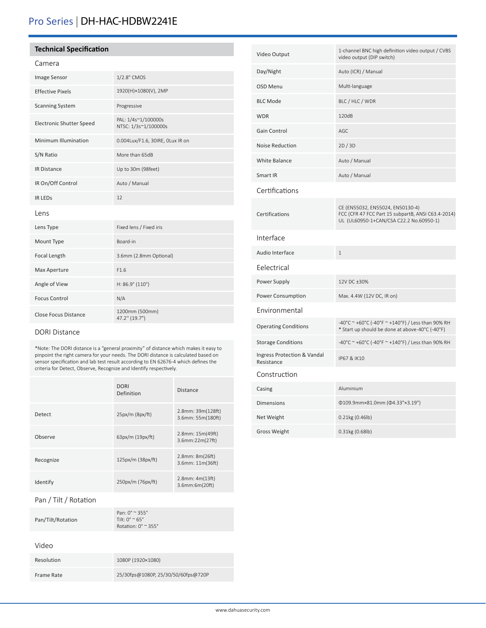## Pro Series | DH-HAC-HDBW2241E

#### **Technical Specification**

#### Camera

| Image Sensor                    | 1/2.8" CMOS                                 |
|---------------------------------|---------------------------------------------|
| <b>Effective Pixels</b>         | 1920(H)×1080(V), 2MP                        |
| <b>Scanning System</b>          | Progressive                                 |
| <b>Electronic Shutter Speed</b> | PAL: 1/4s~1/100000s<br>NTSC: 1/3s~1/100000s |
| Minimum Illumination            | 0.004Lux/F1.6, 30IRE, OLux IR on            |
| S/N Ratio                       | More than 65dB                              |
| <b>IR Distance</b>              | Up to 30m (98feet)                          |
| IR On/Off Control               | Auto / Manual                               |
| <b>IR LEDS</b>                  | 12                                          |
| Lens                            |                                             |
| Lens Type                       | Fixed lens / Fixed iris                     |
| Mount Type                      | Board-in                                    |
| Focal Length                    | 3.6mm (2.8mm Optional)                      |
| Max Aperture                    | F1.6                                        |
| Angle of View                   | $H: 86.9^{\circ} (110^{\circ})$             |
| <b>Focus Control</b>            | N/A                                         |
| <b>Close Focus Distance</b>     | 1200mm (500mm)<br>47.2" (19.7")             |

#### DORI Distance

\*Note: The DORI distance is a "general proximity" of distance which makes it easy to pinpoint the right camera for your needs. The DORI distance is calculated based on sensor specification and lab test result according to EN 62676-4 which defines the criteria for Detect, Observe, Recognize and Identify respectively.

|           | <b>DORI</b><br>Definition | <b>Distance</b>                             |
|-----------|---------------------------|---------------------------------------------|
| Detect    | $25px/m$ ( $8px/ft$ )     | $2.8$ mm: $39m(128ft)$<br>3.6mm: 55m(180ft) |
| Observe   | 63px/m (19px/ft)          | 2.8mm: 15m(49ft)<br>3.6mm:22m(27ft)         |
| Recognize | $125px/m$ (38 $px/ft$ )   | $2.8$ mm: $8m(26ft)$<br>3.6mm: 11m(36ft)    |
| Identify  | 250px/m (76px/ft)         | $2.8$ mm: $4m(13ft)$<br>3.6mm:6m(20ft)      |

#### Pan / Tilt / Rotation

|                   | Pan: $0^{\circ} \approx 355^{\circ}$       |
|-------------------|--------------------------------------------|
| Pan/Tilt/Rotation | Tilt: $0^{\circ}$ $\sim$ 65 $^{\circ}$     |
|                   | Rotation: $0^\circ$ $\approx$ 355 $^\circ$ |

#### Video

| Resolution | 1080P (1920×1080)                   |
|------------|-------------------------------------|
| Frame Rate | 25/30fps@1080P, 25/30/50/60fps@720P |

| Video Output                              | 1-channel BNC high definition video output / CVBS<br>video output (DIP switch)                                                    |
|-------------------------------------------|-----------------------------------------------------------------------------------------------------------------------------------|
| Day/Night                                 | Auto (ICR) / Manual                                                                                                               |
| OSD Menu                                  | Multi-language                                                                                                                    |
| <b>BLC Mode</b>                           | BLC / HLC / WDR                                                                                                                   |
| <b>WDR</b>                                | 120dB                                                                                                                             |
| Gain Control                              | AGC                                                                                                                               |
| <b>Noise Reduction</b>                    | 2D/3D                                                                                                                             |
| <b>White Balance</b>                      | Auto / Manual                                                                                                                     |
| Smart IR                                  | Auto / Manual                                                                                                                     |
| Certifications                            |                                                                                                                                   |
| Certifications                            | CE (EN55032, EN55024, EN50130-4)<br>FCC (CFR 47 FCC Part 15 subpartB, ANSI C63.4-2014)<br>UL (UL60950-1+CAN/CSA C22.2 No.60950-1) |
| Interface                                 |                                                                                                                                   |
| Audio Interface                           | $\mathbf{1}$                                                                                                                      |
| Felectrical                               |                                                                                                                                   |
| Power Supply                              | 12V DC ±30%                                                                                                                       |
| Power Consumption                         | Max. 4.4W (12V DC, IR on)                                                                                                         |
| Environmental                             |                                                                                                                                   |
| <b>Operating Conditions</b>               | -40°C ~ +60°C (-40°F ~ +140°F) / Less than 90% RH<br>* Start up should be done at above-40°C (-40°F)                              |
| <b>Storage Conditions</b>                 | -40°C ~ +60°C (-40°F ~ +140°F) / Less than 90% RH                                                                                 |
| Ingress Protection & Vandal<br>Resistance | IP67 & IK10                                                                                                                       |
| Construction                              |                                                                                                                                   |
| Casing                                    | Aluminium                                                                                                                         |
| <b>Dimensions</b>                         | Φ109.9mm×81.0mm (Φ4.33"×3.19")                                                                                                    |
| Net Weight                                | 0.21kg (0.46lb)                                                                                                                   |
| <b>Gross Weight</b>                       | 0.31kg (0.68lb)                                                                                                                   |